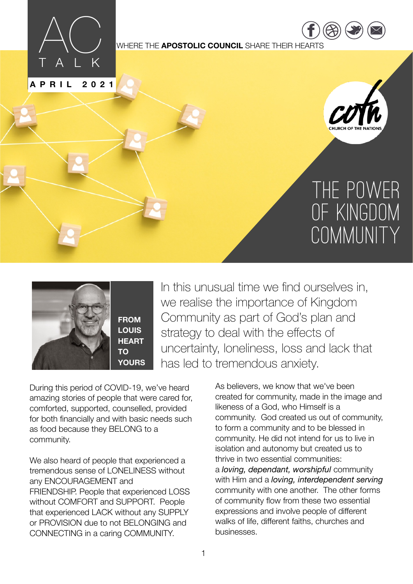

**APRIL 2021**

WHERE THE **APOSTOLIC COUNCIL** SHARE THEIR HEARTS



 $\overline{\phantom{a}}$ [twitter.com](https://twitter.com/COTNations) [/](https://twitter.com/COTNations)  $(\triangle \triangle)$  ( $\square$ ) ( $\square$ 

[https://](https://www.facebook.com/COTNATIONS) ww.fac

# The Power of Kingdom COMMUNITY



**FROM LOUIS HEART YOURS** In this unusual time we find ourselves in, we realise the importance of Kingdom Community as part of God's plan and strategy to deal with the effects of uncertainty, loneliness, loss and lack that has led to tremendous anxiety.

During this period of COVID-19, we've heard amazing stories of people that were cared for, comforted, supported, counselled, provided for both financially and with basic needs such as food because they BELONG to a community.

We also heard of people that experienced a tremendous sense of LONELINESS without any ENCOURAGEMENT and FRIENDSHIP. People that experienced LOSS without COMFORT and SUPPORT. People that experienced LACK without any SUPPLY or PROVISION due to not BELONGING and CONNECTING in a caring COMMUNITY.

As believers, we know that we've been created for community, made in the image and likeness of a God, who Himself is a community. God created us out of community, to form a community and to be blessed in community. He did not intend for us to live in isolation and autonomy but created us to thrive in two essential communities: a *loving, dependant, worshipful* community with Him and a *loving, interdependent serving*  community with one another. The other forms of community flow from these two essential expressions and involve people of different walks of life, different faiths, churches and businesses.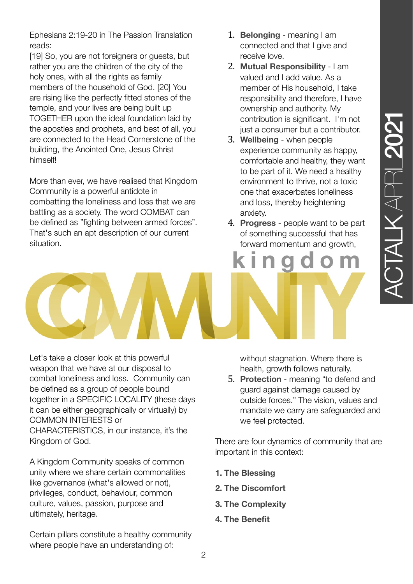Ephesians 2:19-20 in The Passion Translation reads:

[19] So, you are not foreigners or guests, but rather you are the children of the city of the holy ones, with all the rights as family members of the household of God. [20] You are rising like the perfectly fitted stones of the temple, and your lives are being built up TOGETHER upon the ideal foundation laid by the apostles and prophets, and best of all, you are connected to the Head Cornerstone of the building, the Anointed One, Jesus Christ himself!

More than ever, we have realised that Kingdom Community is a powerful antidote in combatting the loneliness and loss that we are battling as a society. The word COMBAT can be defined as "fighting between armed forces". That's such an apt description of our current situation.

- 1. **Belonging** meaning I am connected and that I give and receive love.
- 2. **Mutual Responsibility** I am valued and I add value. As a member of His household, I take responsibility and therefore, I have ownership and authority. My contribution is significant. I'm not just a consumer but a contributor.
- 3. **Wellbeing**  when people experience community as happy, comfortable and healthy, they want to be part of it. We need a healthy environment to thrive, not a toxic one that exacerbates loneliness and loss, thereby heightening anxiety.
- 4. **Progress** people want to be part of something successful that has forward momentum and growth,

 $\overline{a}$ 

n

Let's take a closer look at this powerful weapon that we have at our disposal to combat loneliness and loss. Community can be defined as a group of people bound together in a SPECIFIC LOCALITY (these days it can be either geographically or virtually) by COMMON INTERESTS or CHARACTERISTICS, in our instance, it's the Kingdom of God.

A Kingdom Community speaks of common unity where we share certain commonalities like governance (what's allowed or not), privileges, conduct, behaviour, common culture, values, passion, purpose and ultimately, heritage.

Certain pillars constitute a healthy community where people have an understanding of:

without stagnation. Where there is health, growth follows naturally.

5. **Protection** - meaning "to defend and guard against damage caused by outside forces." The vision, values and mandate we carry are safeguarded and we feel protected.

There are four dynamics of community that are important in this context:

- **1. The Blessing**
- **2. The Discomfort**
- **3. The Complexity**
- **4. The Benefit**